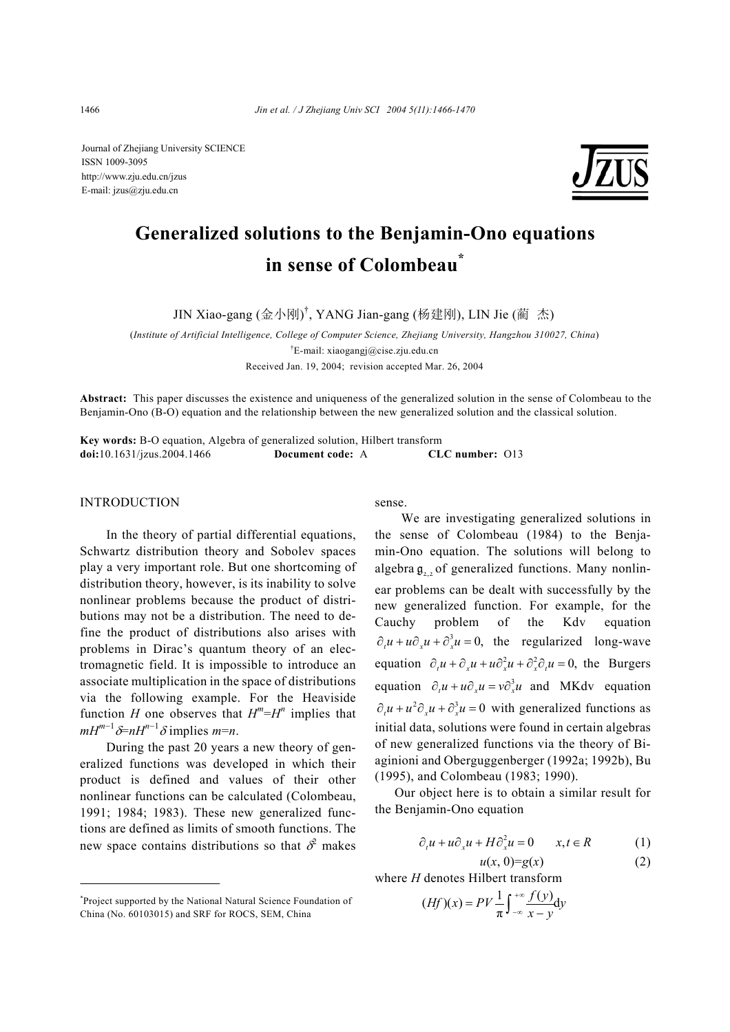Journal of Zhejiang University SCIENCE ISSN 1009-3095 http://www.zju.edu.cn/jzus E-mail: jzus@zju.edu.cn



# **Generalized solutions to the Benjamin-Ono equations in sense of Colombeau\***

JIN Xiao-gang (金小刚) † , YANG Jian-gang (杨建刚), LIN Jie (蔺 杰)

(*Institute of Artificial Intelligence, College of Computer Science, Zhejiang University, Hangzhou 310027, China*) † E-mail: xiaogangj@cise.zju.edu.cn

Received Jan. 19, 2004; revision accepted Mar. 26, 2004

**Abstract:** This paper discusses the existence and uniqueness of the generalized solution in the sense of Colombeau to the Benjamin-Ono (B-O) equation and the relationship between the new generalized solution and the classical solution.

**Key words:** B-O equation, Algebra of generalized solution, Hilbert transform **doi:**10.1631/jzus.2004.1466 **Document code:** A **CLC number:** O13

#### INTRODUCTION

In the theory of partial differential equations, Schwartz distribution theory and Sobolev spaces play a very important role. But one shortcoming of distribution theory, however, is its inability to solve nonlinear problems because the product of distributions may not be a distribution. The need to define the product of distributions also arises with problems in Dirac's quantum theory of an electromagnetic field. It is impossible to introduce an associate multiplication in the space of distributions via the following example. For the Heaviside function *H* one observes that  $H^m = H^n$  implies that  $mH^{m-1}$  $\delta$ = $nH^{n-1}$  $\delta$  implies  $m$ = $n$ .

During the past 20 years a new theory of generalized functions was developed in which their product is defined and values of their other nonlinear functions can be calculated (Colombeau, 1991; 1984; 1983). These new generalized functions are defined as limits of smooth functions. The new space contains distributions so that  $\delta^2$  makes sense.

We are investigating generalized solutions in the sense of Colombeau (1984) to the Benjamin-Ono equation. The solutions will belong to algebra  $\mathfrak{g}$ , of generalized functions. Many nonlinear problems can be dealt with successfully by the new generalized function. For example, for the Cauchy problem of the Kdv equation  $\partial u + u \partial u + \partial^3 u = 0$ , the regularized long-wave equation  $\partial u + \partial u + u \partial^2 u + \partial^2 u = 0$ , the Burgers equation  $\partial_t u + u \partial_x u = v \partial_x^3 u$  and MKdv equation  $\partial u + u^2 \partial u + \partial^3 u = 0$  with generalized functions as initial data, solutions were found in certain algebras of new generalized functions via the theory of Biaginioni and Oberguggenberger (1992a; 1992b), Bu (1995), and Colombeau (1983; 1990).

Our object here is to obtain a similar result for the Benjamin-Ono equation

$$
\partial_t u + u \partial_x u + H \partial_x^2 u = 0 \qquad x, t \in R \tag{1}
$$

 $u(x, 0)=g(x)$  (2)

where *H* denotes Hilbert transform

$$
(Hf)(x) = PV\frac{1}{\pi} \int_{-\infty}^{+\infty} \frac{f(y)}{x - y} dy
$$

<sup>\*</sup> Project supported by the National Natural Science Foundation of China (No. 60103015) and SRF for ROCS, SEM, China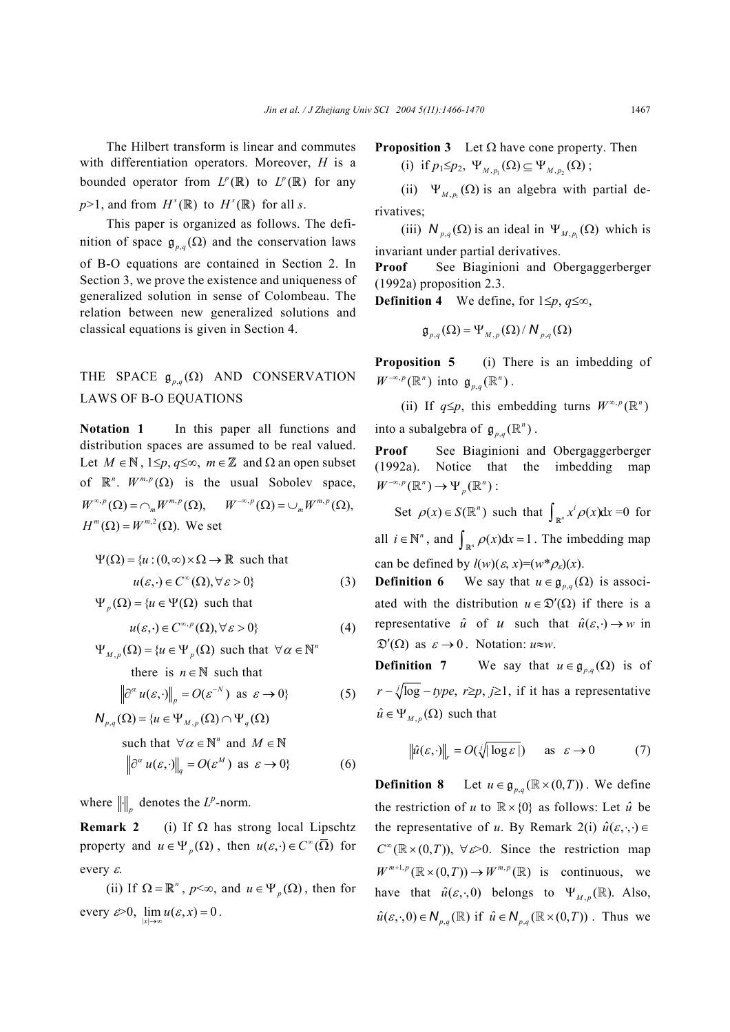The Hilbert transform is linear and commutes with differentiation operators. Moreover, *H* is a bounded operator from  $L^p(\mathbb{R})$  to  $L^p(\mathbb{R})$  for any  $p>1$ , and from  $H^s(\mathbb{R})$  to  $H^s(\mathbb{R})$  for all *s*.

This paper is organized as follows. The definition of space  $\mathfrak{g}_{p,q}(\Omega)$  and the conservation laws of B-O equations are contained in Section 2. In Section 3, we prove the existence and uniqueness of generalized solution in sense of Colombeau. The relation between new generalized solutions and classical equations is given in Section 4.

# THE SPACE  $\mathfrak{g}_{p,q}(\Omega)$  AND CONSERVATION LAWS OF B-O EQUATIONS

**Notation 1** In this paper all functions and distribution spaces are assumed to be real valued. Let *M* ∈**N** , 1≤*p*, *q*≤∞, *m*∈**Z** and Ω an open subset of  $\mathbb{R}^n$ .  $W^{m,p}(\Omega)$  is the usual Sobolev space,  $W^{\infty,p}(\Omega) = \cap_m W^{m,p}(\Omega), \quad W^{-\infty,p}(\Omega) = \cup_m W^{m,p}(\Omega),$  $H^m(\Omega) = W^{m,2}(\Omega)$ . We set

$$
\Psi(\Omega) = \{u : (0, \infty) \times \Omega \to \mathbb{R} \text{ such that}
$$

$$
u(\varepsilon, \cdot) \in C^{\infty}(\Omega), \forall \varepsilon > 0\}
$$
(3)

 $\Psi_n(\Omega) = \{u \in \Psi(\Omega) \text{ such that }$ 

 $u(\varepsilon, \cdot) \in C^{\infty, p}(\Omega), \forall \varepsilon > 0$  (4)

 $\Psi_{M,p}(\Omega) = \{u \in \Psi_p(\Omega) \text{ such that } \forall \alpha \in \mathbb{N}^n\}$ 

there is  $n \in \mathbb{N}$  such that

$$
\left\|\partial^{\alpha} u(\varepsilon, \cdot)\right\|_{p} = O(\varepsilon^{-N}) \text{ as } \varepsilon \to 0\}
$$
 (5)  
N (O) = {u \in \Psi (O) \cap \Psi (O)

$$
\forall_{p,q} (s^2) = \{u \in T_{M,p} (s^2) \mid T_{q} (s^2) \}
$$
  
such that  $\forall \alpha \in \mathbb{N}^n$  and  $M \in \mathbb{N}$   

$$
\left\| \partial^{\alpha} u(\varepsilon, \cdot) \right\|_{q} = O(\varepsilon^M) \text{ as } \varepsilon \to 0 \}
$$
 (6)

where  $\|\cdot\|_p$  denotes the *L*<sup>*p*</sup>-norm.

**Remark 2** (i) If  $\Omega$  has strong local Lipschtz property and  $u \in \Psi_p(\Omega)$ , then  $u(\varepsilon, \cdot) \in C^\infty(\overline{\Omega})$  for every ε.

(ii) If  $\Omega = \mathbb{R}^n$ ,  $p \le \infty$ , and  $u \in \Psi_p(\Omega)$ , then for every  $\varepsilon > 0$ ,  $\lim_{|x| \to \infty} u(\varepsilon, x) = 0$ .

**Proposition 3** Let  $\Omega$  have cone property. Then (i) if  $p_1 \leq p_2$ ,  $\Psi_{M,p_1}(\Omega) \subseteq \Psi_{M,p_2}(\Omega)$ ;

(ii)  $\Psi_{M, n}(\Omega)$  is an algebra with partial derivatives;

(iii)  $N_{p,q}(\Omega)$  is an ideal in  $\Psi_{M,p}(\Omega)$  which is invariant under partial derivatives.

**Proof** See Biaginioni and Obergaggerberger (1992a) proposition 2.3.

**Definition 4** We define, for  $1 \leq p, q \leq \infty$ ,

$$
\mathfrak{g}_{p,q}(\Omega) = \Psi_{M,p}(\Omega) / N_{p,q}(\Omega)
$$

**Proposition 5** (i) There is an imbedding of  $W^{-\infty,p}(\mathbb{R}^n)$  into  $\mathfrak{g}_{p,q}(\mathbb{R}^n)$ .

(ii) If  $q \leq p$ , this embedding turns  $W^{\infty, p}(\mathbb{R}^n)$ into a subalgebra of  $\mathfrak{g}_{p,q}(\mathbb{R}^n)$ .

**Proof** See Biaginioni and Obergaggerberger (1992a). Notice that the imbedding map  $W^{-\infty,p}(\mathbb{R}^n) \to \Psi_p(\mathbb{R}^n)$ :

Set  $\rho(x) \in S(\mathbb{R}^n)$  such that  $\int_{\mathbb{R}^n} x^i \rho(x) dx = 0$  for all  $i \in \mathbb{N}^n$ , and  $\int_{\mathbb{R}^n} \rho(x) dx = 1$ . The imbedding map can be defined by  $l(w)(\varepsilon, x) = (w^*\rho_{\varepsilon})(x)$ .

**Definition 6** We say that  $u \in \mathfrak{g}_{n,q}(\Omega)$  is associated with the distribution  $u \in \mathcal{D}'(\Omega)$  if there is a representative  $\hat{u}$  of *u* such that  $\hat{u}(\varepsilon, \cdot) \rightarrow w$  in  $\mathfrak{D}'(\Omega)$  as  $\varepsilon \to 0$ . Notation:  $u \approx w$ .

**Definition 7** We say that  $u \in \mathfrak{g}_{n,q}(\Omega)$  is of  $r - \sqrt{\log(-t)}$  *r*  $\geq p$ ,  $j \geq 1$ , if it has a representative  $\hat{u} \in \Psi_{M,p}(\Omega)$  such that

$$
\left\|\hat{u}(\varepsilon,\cdot)\right\|_{r} = O(\sqrt{|\log \varepsilon|}) \quad \text{as} \ \varepsilon \to 0 \tag{7}
$$

**Definition 8** Let  $u \in \mathfrak{g}_{n,q}(\mathbb{R} \times (0,T))$ . We define the restriction of *u* to  $\mathbb{R} \times \{0\}$  as follows: Let  $\hat{u}$  be the representative of *u*. By Remark 2(i)  $\hat{u}(\varepsilon, \cdot, \cdot) \in$  $C^{\infty}(\mathbb{R} \times (0,T))$ ,  $\forall \varepsilon > 0$ . Since the restriction map  $W^{m+1, p}(\mathbb{R} \times (0, T)) \to W^{m, p}(\mathbb{R})$  is continuous, we have that  $\hat{u}(\varepsilon, \cdot, 0)$  belongs to  $\Psi_{M, n}(\mathbb{R})$ . Also,  $\hat{u}(\varepsilon, \cdot, 0) \in N_{p,q}(\mathbb{R})$  if  $\hat{u} \in N_{p,q}(\mathbb{R} \times (0, T))$ . Thus we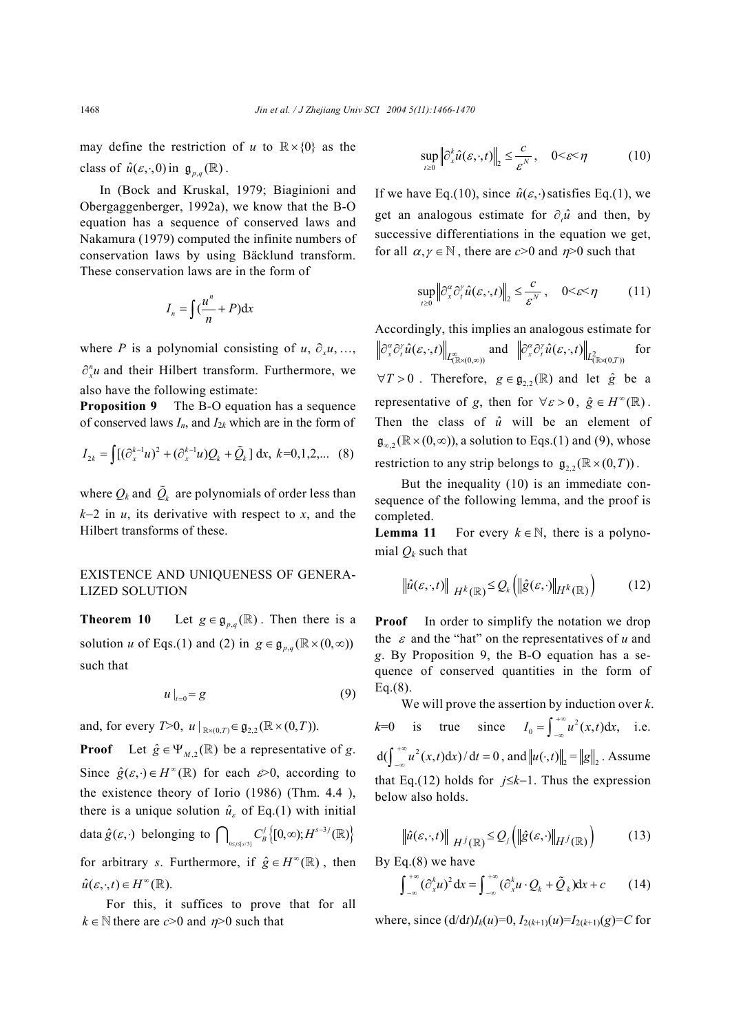may define the restriction of *u* to  $\mathbb{R} \times \{0\}$  as the class of  $\hat{u}(\varepsilon, \cdot, 0)$  in  $\mathfrak{g}_{p,q}(\mathbb{R})$ .

In (Bock and Kruskal, 1979; Biaginioni and Obergaggenberger, 1992a), we know that the B-O equation has a sequence of conserved laws and Nakamura (1979) computed the infinite numbers of conservation laws by using Bäcklund transform. These conservation laws are in the form of

$$
I_n = \int \left(\frac{u^n}{n} + P\right) \mathrm{d}x
$$

where *P* is a polynomial consisting of  $u, \partial, u, \ldots$ ,  $\partial_{x}^{n}$ *u* and their Hilbert transform. Furthermore, we also have the following estimate:

**Proposition 9** The B-O equation has a sequence of conserved laws  $I_n$ , and  $I_{2k}$  which are in the form of

$$
I_{2k} = \int [(\partial_x^{k-1} u)^2 + (\partial_x^{k-1} u)Q_k + \tilde{Q}_k] dx, k=0,1,2,... (8)
$$

where  $Q_k$  and  $\tilde{Q}_k$  are polynomials of order less than *k*−2 in *u*, its derivative with respect to *x*, and the Hilbert transforms of these.

### EXISTENCE AND UNIQUENESS OF GENERA-LIZED SOLUTION

**Theorem 10** Let  $g \in \mathfrak{g}_{p,q}(\mathbb{R})$ . Then there is a solution *u* of Eqs.(1) and (2) in  $g \in \mathfrak{g}_{p,q}(\mathbb{R} \times (0,\infty))$ such that

$$
u\big|_{t=0} = g \tag{9}
$$

and, for every *T*>0,  $u|_{\mathbb{R} \times (0, T)} \in \mathfrak{g}_{2,2}(\mathbb{R} \times (0, T)).$ 

**Proof** Let  $\hat{g} \in \Psi_{M,2}(\mathbb{R})$  be a representative of *g*. Since  $\hat{g}(\varepsilon, \cdot) \in H^{\infty}(\mathbb{R})$  for each  $\varepsilon > 0$ , according to the existence theory of Iorio (1986) (Thm. 4.4 ), there is a unique solution  $\hat{u}_e$  of Eq.(1) with initial data  $\hat{g}(\varepsilon, \cdot)$  belonging to  $\bigcap_{0 \leq s \leq s/31} C^j_B \big\{ [0, \infty) ; H^{s-3j}(\mathbb{R}) \big\}$ for arbitrary *s*. Furthermore, if  $\hat{g} \in H^{\infty}(\mathbb{R})$ , then  $\hat{u}(\varepsilon, \cdot, t) \in H^{\infty}(\mathbb{R}).$ 

For this, it suffices to prove that for all  $k \in \mathbb{N}$  there are *c*>0 and *n*>0 such that

$$
\sup_{t\geq 0} \left\| \partial_x^k \hat{u}(\varepsilon, \cdot, t) \right\|_2 \leq \frac{c}{\varepsilon^N}, \quad 0 < \varepsilon < \eta \tag{10}
$$

If we have Eq.(10), since  $\hat{u}(\varepsilon, \cdot)$  satisfies Eq.(1), we get an analogous estimate for  $\partial_x \hat{u}$  and then, by successive differentiations in the equation we get, for all  $\alpha, \gamma \in \mathbb{N}$ , there are *c*>0 and  $\eta$ >0 such that

$$
\sup_{t \ge 0} \left\| \partial_x^{\alpha} \partial_t^{\gamma} \hat{u}(\varepsilon, \cdot, t) \right\|_2 \le \frac{c}{\varepsilon^N}, \quad 0 < \varepsilon < \eta \tag{11}
$$

Accordingly, this implies an analogous estimate for  $\partial_{x}^{\alpha}\partial_{t}^{\gamma}\hat{u}(\varepsilon,\cdot,t)\big\|_{L_{(\mathbb{R}\times(0,\infty))}^{\infty}}$  and  $\left\Vert \partial_{x}^{\alpha}\partial_{t}^{\gamma}\hat{u}(\varepsilon,\cdot,t)\right\Vert _{L_{(\mathbb{R}\times(0,T))}^{\infty}}$  for  $\forall T > 0$ . Therefore,  $g \in \mathfrak{g}_{2,2}(\mathbb{R})$  and let  $\hat{g}$  be a representative of *g*, then for  $\forall \varepsilon > 0$ ,  $\hat{g} \in H^{\infty}(\mathbb{R})$ . Then the class of  $\hat{u}$  will be an element of  $\mathfrak{g}_{\infty,2}(\mathbb{R} \times (0,\infty))$ , a solution to Eqs.(1) and (9), whose restriction to any strip belongs to  $\mathfrak{g}_{2,2}(\mathbb{R} \times (0,T))$ .

But the inequality (10) is an immediate consequence of the following lemma, and the proof is completed.

**Lemma 11** For every  $k \in \mathbb{N}$ , there is a polynomial  $Q_k$  such that

$$
\left\|\hat{u}(\varepsilon,\cdot,t)\right\|_{H^k(\mathbb{R})} \leq Q_k\left(\left\|\hat{g}(\varepsilon,\cdot)\right\|_{H^k(\mathbb{R})}\right) \tag{12}
$$

**Proof** In order to simplify the notation we drop the  $\varepsilon$  and the "hat" on the representatives of  $u$  and *g*. By Proposition 9, the B-O equation has a sequence of conserved quantities in the form of  $Eq.(8)$ .

We will prove the assertion by induction over *k*.  $k=0$  is true since  $I_0 = \int_{-\infty}^{+\infty} u^2(x,t) dx$ , i.e.  $d(\int_{-\infty}^{+\infty} u^2(x, t) dx) / dt = 0$ , and  $||u(\cdot, t)||_2 = ||g||_2$ . Assume that Eq.(12) holds for *j*≤*k*−1. Thus the expression below also holds.

$$
\left\|\hat{u}(\varepsilon,\cdot,t)\right\|_{H^j(\mathbb{R})} \leq Q_j\left(\left\|\hat{g}(\varepsilon,\cdot)\right\|_{H^j(\mathbb{R})}\right) \tag{13}
$$

By Eq.(8) we have

$$
\int_{-\infty}^{+\infty} (\partial_x^k u)^2 dx = \int_{-\infty}^{+\infty} (\partial_x^k u \cdot Q_k + \tilde{Q}_k) dx + c \qquad (14)
$$

where, since  $\left(\frac{d}{dt}\right)I_k(u)=0, I_{2(k+1)}(u)=I_{2(k+1)}(g)=C$  for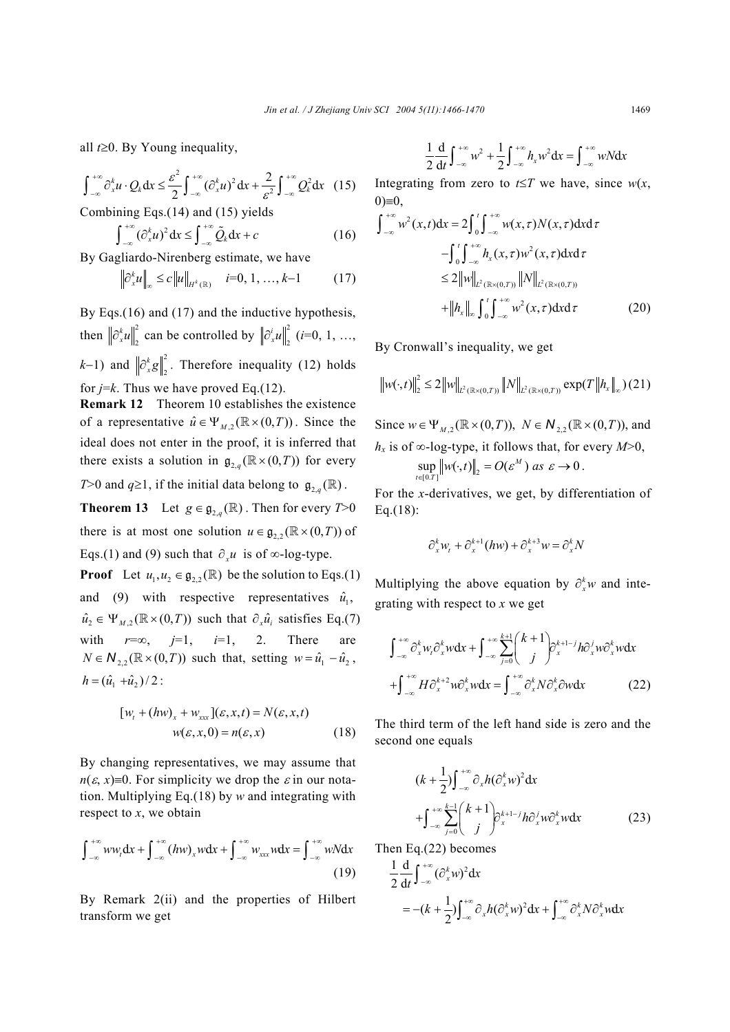all *t*≥0. By Young inequality,

$$
\int_{-\infty}^{+\infty} \partial_x^k u \cdot Q_k dx \leq \frac{\varepsilon^2}{2} \int_{-\infty}^{+\infty} (\partial_x^k u)^2 dx + \frac{2}{\varepsilon^2} \int_{-\infty}^{+\infty} Q_k^2 dx \quad (15)
$$

Combining Eqs.(14) and (15) yields

$$
\int_{-\infty}^{+\infty} (\partial_x^k u)^2 dx \le \int_{-\infty}^{+\infty} \tilde{Q}_k dx + c
$$
 (16)

By Gagliardo-Nirenberg estimate, we have

$$
\left\|\partial_x^k u\right\|_{\infty} \le c \left\|u\right\|_{H^k(\mathbb{R})} \quad i=0,1,...,k-1 \tag{17}
$$

By Eqs.(16) and (17) and the inductive hypothesis, then  $\left\|\partial_x^k u\right\|_2^2$  $\partial_x^k u \Big\|_2^2$  can be controlled by  $\left\| \partial_x^i u \right\|_2^2$  $\partial_x^i u \bigg|_{2}^2$  (*i*=0, 1, …,  $(k-1)$  and  $\left\| \partial_x^k g \right\|_2^2$  $\partial_x^k g \bigg|_2^2$ . Therefore inequality (12) holds

for  $j=k$ . Thus we have proved Eq.(12).

**Remark 12** Theorem 10 establishes the existence of a representative  $\hat{u} \in \Psi_{M,2}(\mathbb{R} \times (0,T))$ . Since the ideal does not enter in the proof, it is inferred that there exists a solution in  $\mathfrak{g}_{2,q}(\mathbb{R} \times (0,T))$  for every

*T*>0 and  $q \ge 1$ , if the initial data belong to  $\mathfrak{g}_{2,q}(\mathbb{R})$ .

**Theorem 13** Let  $g \in \mathfrak{g}_{2a}(\mathbb{R})$ . Then for every  $T>0$ there is at most one solution  $u \in \mathfrak{g}_{2,2}(\mathbb{R} \times (0,T))$  of Eqs.(1) and (9) such that  $\partial_{x} u$  is of ∞-log-type.

**Proof** Let  $u_1, u_2 \in \mathfrak{g}_{2,2}(\mathbb{R})$  be the solution to Eqs.(1) and (9) with respective representatives  $\hat{u}_1$ ,  $\hat{u}_2 \in \Psi_M$ ,  $(\mathbb{R} \times (0, T))$  such that  $\partial_x \hat{u}_i$  satisfies Eq.(7) with  $r=\infty$ ,  $j=1$ ,  $i=1$ , 2. There are  $N \in \mathbb{N}_{2,2}(\mathbb{R} \times (0,T))$  such that, setting  $w = \hat{u}_1 - \hat{u}_2$ ,  $h = (\hat{u}_1 + \hat{u}_2)/2$ :

$$
[w_t + (hw)_x + w_{xxx}](\varepsilon, x, t) = N(\varepsilon, x, t)
$$
  

$$
w(\varepsilon, x, 0) = n(\varepsilon, x)
$$
 (18)

By changing representatives, we may assume that  $n(\varepsilon, x) = 0$ . For simplicity we drop the  $\varepsilon$  in our notation. Multiplying Eq.(18) by *w* and integrating with respect to *x*, we obtain

$$
\int_{-\infty}^{+\infty} w w_t dx + \int_{-\infty}^{+\infty} (hw)_x w dx + \int_{-\infty}^{+\infty} w_{xxx} w dx = \int_{-\infty}^{+\infty} w N dx
$$
\n(19)

By Remark 2(ii) and the properties of Hilbert transform we get

$$
\frac{1}{2}\frac{d}{dt}\int_{-\infty}^{+\infty}w^2+\frac{1}{2}\int_{-\infty}^{+\infty}h_xw^2dx=\int_{-\infty}^{+\infty}wNdx
$$

Integrating from zero to  $t \leq T$  we have, since  $w(x)$ ,  $0 \equiv 0$ ,

$$
\int_{-\infty}^{+\infty} w^2(x,t) dx = 2 \int_0^t \int_{-\infty}^{+\infty} w(x,\tau) N(x,\tau) dx d\tau
$$
  
\n
$$
- \int_0^t \int_{-\infty}^{+\infty} h_x(x,\tau) w^2(x,\tau) dx d\tau
$$
  
\n
$$
\leq 2 \|w\|_{L^2(\mathbb{R}\times(0,T))} \|N\|_{L^2(\mathbb{R}\times(0,T))}
$$
  
\n
$$
+ \|h_x\|_{\infty} \int_0^t \int_{-\infty}^{+\infty} w^2(x,\tau) dx d\tau
$$
 (20)

By Cronwall's inequality, we get

$$
\left\|w(\cdot,t)\right\|_{2}^{2} \leq 2\left\|w\right\|_{L^{2}(\mathbb{R}\times(0,T))}\left\|N\right\|_{L^{2}(\mathbb{R}\times(0,T))}\exp(T\left\|h_{x}\right\|_{\infty})(21)
$$

Since  $w \in \Psi_{M}$ ,  $(\mathbb{R} \times (0, T))$ ,  $N \in \mathbb{N}_{2}$ ,  $(\mathbb{R} \times (0, T))$ , and *h<sub>x</sub>* is of ∞-log-type, it follows that, for every  $M>0$ ,  $\sup_{t \in [0,T]} \|w(\cdot,t)\|_2 = O(\varepsilon^M) \text{ as } \varepsilon \to 0.$ 

For the *x*-derivatives, we get, by differentiation of Eq.(18):

$$
\partial_x^k w_t + \partial_x^{k+1} (hw) + \partial_x^{k+3} w = \partial_x^k N
$$

Multiplying the above equation by  $\partial_x^k w$  and integrating with respect to *x* we get

$$
\int_{-\infty}^{+\infty} \partial_x^k w_i \partial_x^k w dx + \int_{-\infty}^{+\infty} \sum_{j=0}^{k+1} \binom{k+1}{j} \partial_x^{k+1-j} h \partial_x^j w \partial_x^k w dx
$$

$$
+ \int_{-\infty}^{+\infty} H \partial_x^{k+2} w \partial_x^k w dx = \int_{-\infty}^{+\infty} \partial_x^k N \partial_x^k \partial w dx \qquad (22)
$$

The third term of the left hand side is zero and the second one equals

$$
(k + \frac{1}{2}) \int_{-\infty}^{+\infty} \partial_x h (\partial_x^k w)^2 dx
$$
  
+ 
$$
\int_{-\infty}^{+\infty} \sum_{j=0}^{k-1} {k+1 \choose j} \partial_x^{k+1-j} h \partial_x^j w \partial_x^k w dx
$$
 (23)

Then Eq.(22) becomes

$$
\frac{1}{2} \frac{d}{dt} \int_{-\infty}^{+\infty} (\partial_x^k w)^2 dx
$$
  
= -(k +  $\frac{1}{2}$ )  $\int_{-\infty}^{+\infty} \partial_x h (\partial_x^k w)^2 dx + \int_{-\infty}^{+\infty} \partial_x^k N \partial_x^k w dx$